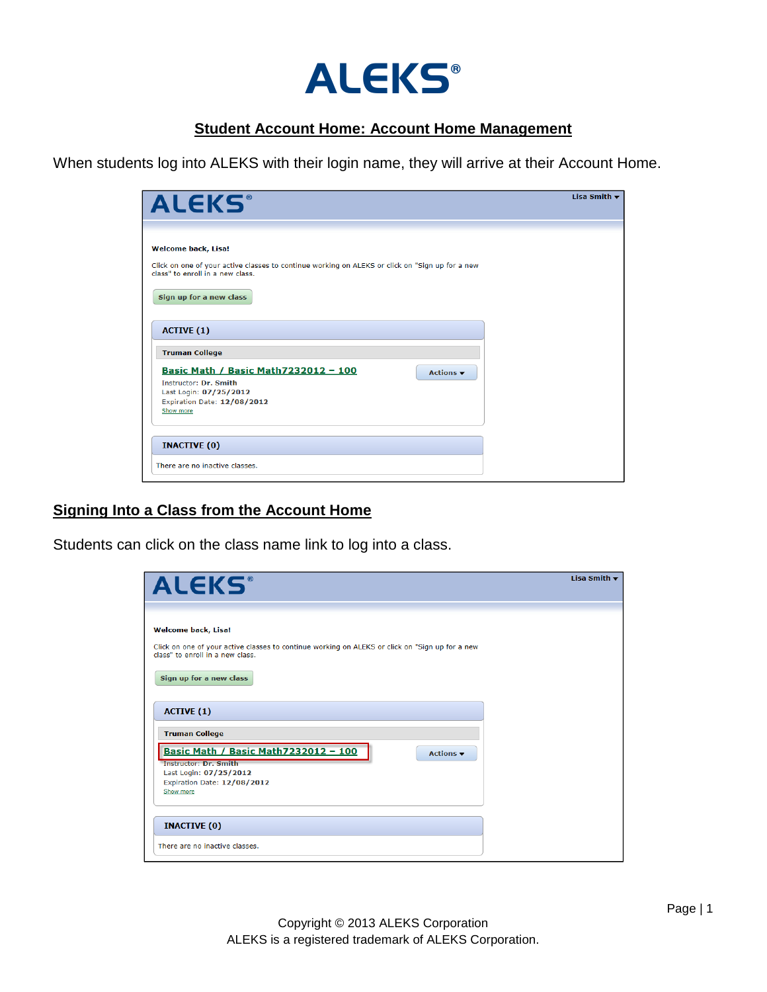

### **Student Account Home: Account Home Management**

When students log into ALEKS with their login name, they will arrive at their Account Home.

| <b>ALEKS®</b>                                                                                                                       | Lisa Smith $\blacktriangledown$ |
|-------------------------------------------------------------------------------------------------------------------------------------|---------------------------------|
|                                                                                                                                     |                                 |
| <b>Welcome back, Lisa!</b>                                                                                                          |                                 |
| Click on one of your active classes to continue working on ALEKS or click on "Sign up for a new<br>class" to enroll in a new class. |                                 |
| Sign up for a new class                                                                                                             |                                 |
| <b>ACTIVE (1)</b>                                                                                                                   |                                 |
| <b>Truman College</b>                                                                                                               |                                 |
| <u>Basic Math / Basic Math7232012 - 100</u>                                                                                         |                                 |
| Actions $\blacktriangledown$<br>Instructor: Dr. Smith                                                                               |                                 |
| Last Login: 07/25/2012                                                                                                              |                                 |
| Expiration Date: 12/08/2012                                                                                                         |                                 |
| Show more                                                                                                                           |                                 |
|                                                                                                                                     |                                 |
|                                                                                                                                     |                                 |
| <b>INACTIVE (0)</b>                                                                                                                 |                                 |
| There are no inactive classes.                                                                                                      |                                 |

#### **Signing Into a Class from the Account Home**

Students can click on the class name link to log into a class.

| <b>ALEKS®</b>                                                                                                                                                                                | Lisa Smith $\blacktriangledown$ |
|----------------------------------------------------------------------------------------------------------------------------------------------------------------------------------------------|---------------------------------|
| <b>Welcome back, Lisa!</b><br>Click on one of your active classes to continue working on ALEKS or click on "Sign up for a new<br>class" to enroll in a new class.<br>Sign up for a new class |                                 |
| <b>ACTIVE (1)</b><br><b>Truman College</b>                                                                                                                                                   |                                 |
| Basic Math / Basic Math7232012 - 100<br>Actions $\blacktriangledown$<br><b>Instructor: Dr. Smith</b><br>Last Login: 07/25/2012<br>Expiration Date: 12/08/2012<br>Show more                   |                                 |
| <b>INACTIVE (0)</b><br>There are no inactive classes.                                                                                                                                        |                                 |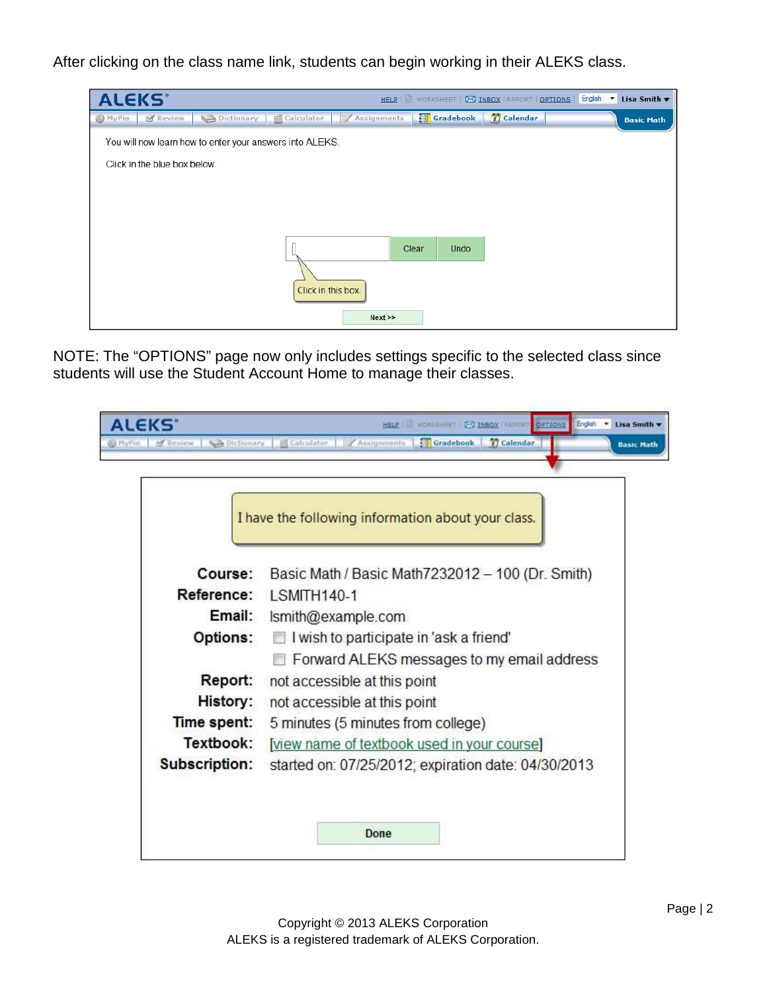After clicking on the class name link, students can begin working in their ALEKS class.



NOTE: The "OPTIONS" page now only includes settings specific to the selected class since students will use the Student Account Home to manage their classes.

|                      | I have the following information about your class.  |
|----------------------|-----------------------------------------------------|
| Course:              | Basic Math / Basic Math 7232012 - 100 (Dr. Smith)   |
| Reference:           | <b>LSMITH140-1</b>                                  |
| Email:               | Ismith@example.com                                  |
| <b>Options:</b>      | I wish to participate in 'ask a friend'             |
|                      | Forward ALEKS messages to my email address          |
| Report:              | not accessible at this point                        |
| History:             | not accessible at this point                        |
| Time spent:          | 5 minutes (5 minutes from college)                  |
| Textbook:            | [view name of textbook used in your course]         |
| <b>Subscription:</b> | started on: 07/25/2012; expiration date: 04/30/2013 |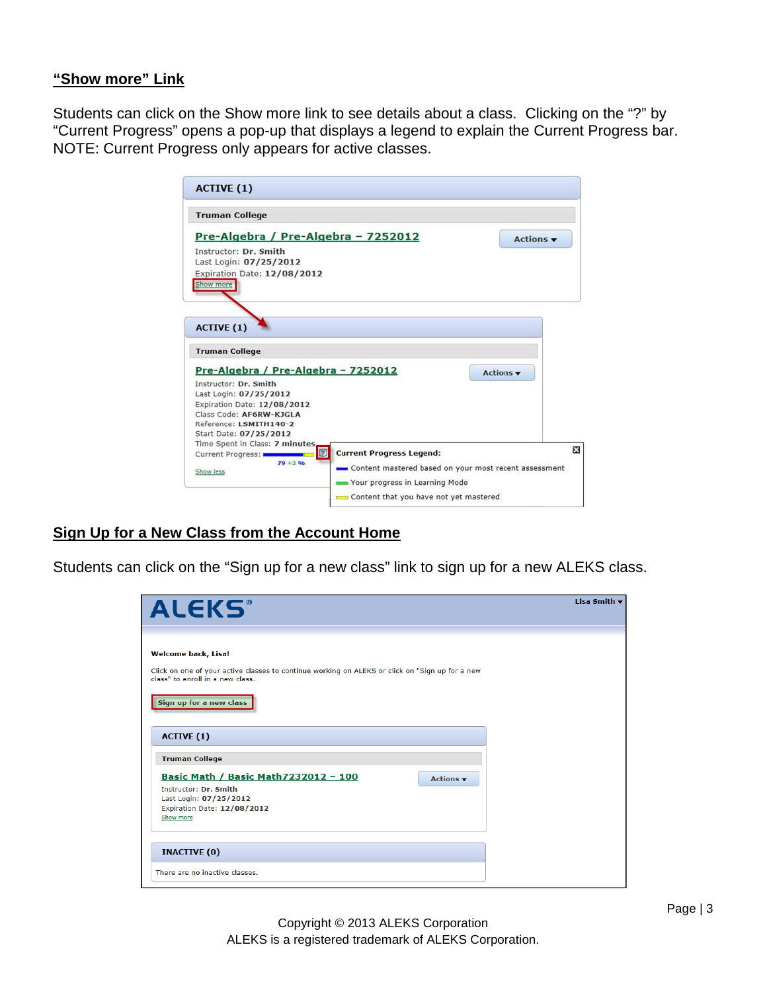### **"Show more" Link**

Students can click on the Show more link to see details about a class. Clicking on the "?" by "Current Progress" opens a pop-up that displays a legend to explain the Current Progress bar. NOTE: Current Progress only appears for active classes.

| Instructor: Dr. Smith<br>Last Login: 07/25/2012<br>Expiration Date: 12/08/2012<br>Show more                                         | Pre-Algebra / Pre-Algebra - 7252012 |                                 | Actions v |
|-------------------------------------------------------------------------------------------------------------------------------------|-------------------------------------|---------------------------------|-----------|
| <b>ACTIVE (1)</b><br><b>Truman College</b>                                                                                          |                                     |                                 |           |
| Instructor: Dr. Smith<br>Last Login: 07/25/2012<br>Expiration Date: 12/08/2012<br>Class Code: AF6RW-KIGLA<br>Reference: LSMITH140-2 | Pre-Algebra / Pre-Algebra - 7252012 |                                 | Actions v |
| Start Date: 07/25/2012                                                                                                              | Time Spent in Class: 7 minutes<br>数 | <b>Current Progress Legend:</b> | 図         |

## **Sign Up for a New Class from the Account Home**

Students can click on the "Sign up for a new class" link to sign up for a new ALEKS class.

| <b>ALEKS</b> ®                                                                                                                                                                               | Lisa Smith v |
|----------------------------------------------------------------------------------------------------------------------------------------------------------------------------------------------|--------------|
| <b>Welcome back, Lisa!</b><br>Click on one of your active classes to continue working on ALEKS or click on "Sign up for a new<br>class" to enroll in a new class.<br>Sign up for a new class |              |
| <b>ACTIVE (1)</b><br><b>Truman College</b>                                                                                                                                                   |              |
| Basic Math / Basic Math7232012 - 100<br>Actions $\blacktriangledown$<br>Instructor: Dr. Smith<br>Last Login: 07/25/2012<br>Expiration Date: 12/08/2012<br>Show more                          |              |
| <b>INACTIVE (0)</b><br>There are no inactive classes.                                                                                                                                        |              |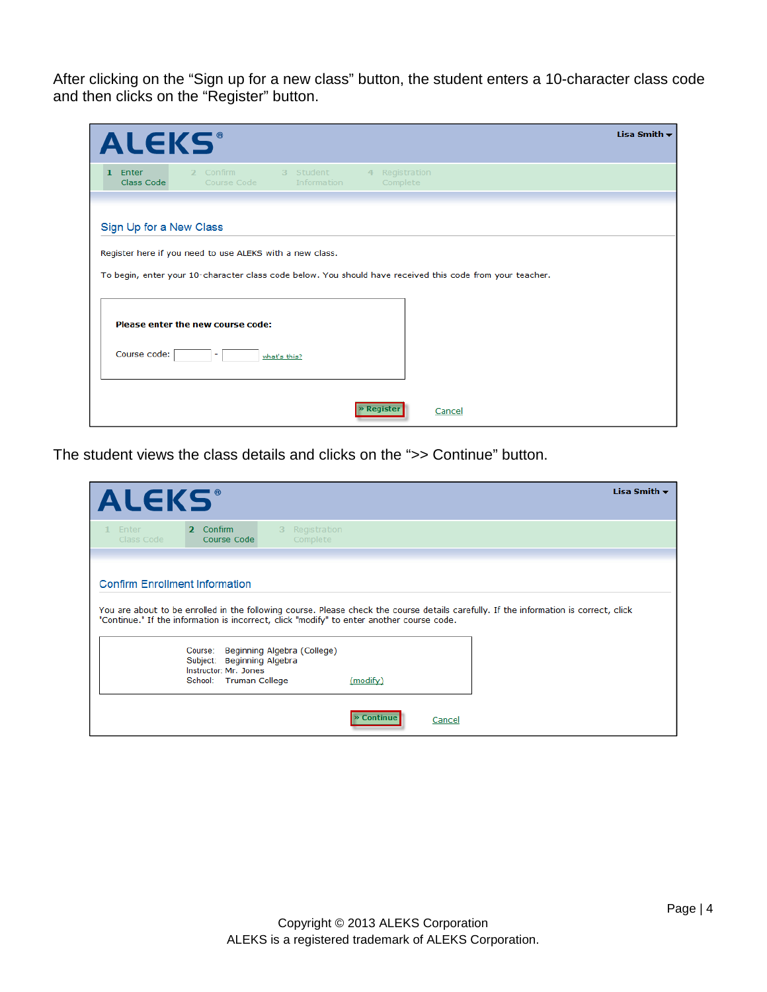After clicking on the "Sign up for a new class" button, the student enters a 10-character class code and then clicks on the "Register" button.

| <b>ALEKS®</b>                       |                                                          |                                 |                               |                                                                                                           | Lisa Smith $\blacktriangledown$ |
|-------------------------------------|----------------------------------------------------------|---------------------------------|-------------------------------|-----------------------------------------------------------------------------------------------------------|---------------------------------|
| Enter<br>$\mathbf{1}$<br>Class Code | 2 Confirm<br>Course Code                                 | 3 Student<br><b>Information</b> | Registration<br>4<br>Complete |                                                                                                           |                                 |
| Sign Up for a New Class             |                                                          |                                 |                               |                                                                                                           |                                 |
|                                     | Register here if you need to use ALEKS with a new class. |                                 |                               |                                                                                                           |                                 |
|                                     |                                                          |                                 |                               | To begin, enter your 10-character class code below. You should have received this code from your teacher. |                                 |
|                                     | Please enter the new course code:                        |                                 |                               |                                                                                                           |                                 |
| Course code:                        |                                                          | what's this?                    |                               |                                                                                                           |                                 |
|                                     |                                                          |                                 | Registe<br>Cancel             |                                                                                                           |                                 |

The student views the class details and clicks on the ">> Continue" button.

| <b>ALEKS</b>                                                                                                                       |                                                                                          |                                          |                 |        |                                                                                                                                       | Lisa Smith $\blacktriangledown$ |
|------------------------------------------------------------------------------------------------------------------------------------|------------------------------------------------------------------------------------------|------------------------------------------|-----------------|--------|---------------------------------------------------------------------------------------------------------------------------------------|---------------------------------|
| 1 Enter<br>Class Code                                                                                                              | 2 Confirm<br>Course Code                                                                 | Registration<br>$\mathbf{3}$<br>Complete |                 |        |                                                                                                                                       |                                 |
| <b>Confirm Enrollment Information</b><br>"Continue." If the information is incorrect, click "modify" to enter another course code. |                                                                                          |                                          |                 |        | You are about to be enrolled in the following course. Please check the course details carefully. If the information is correct, click |                                 |
|                                                                                                                                    | Course:<br>Subject: Beginning Algebra<br>Instructor: Mr. Jones<br>School: Truman College | Beginning Algebra (College)              | (modify)        |        |                                                                                                                                       |                                 |
|                                                                                                                                    |                                                                                          |                                          | <b>Continue</b> | Cancel |                                                                                                                                       |                                 |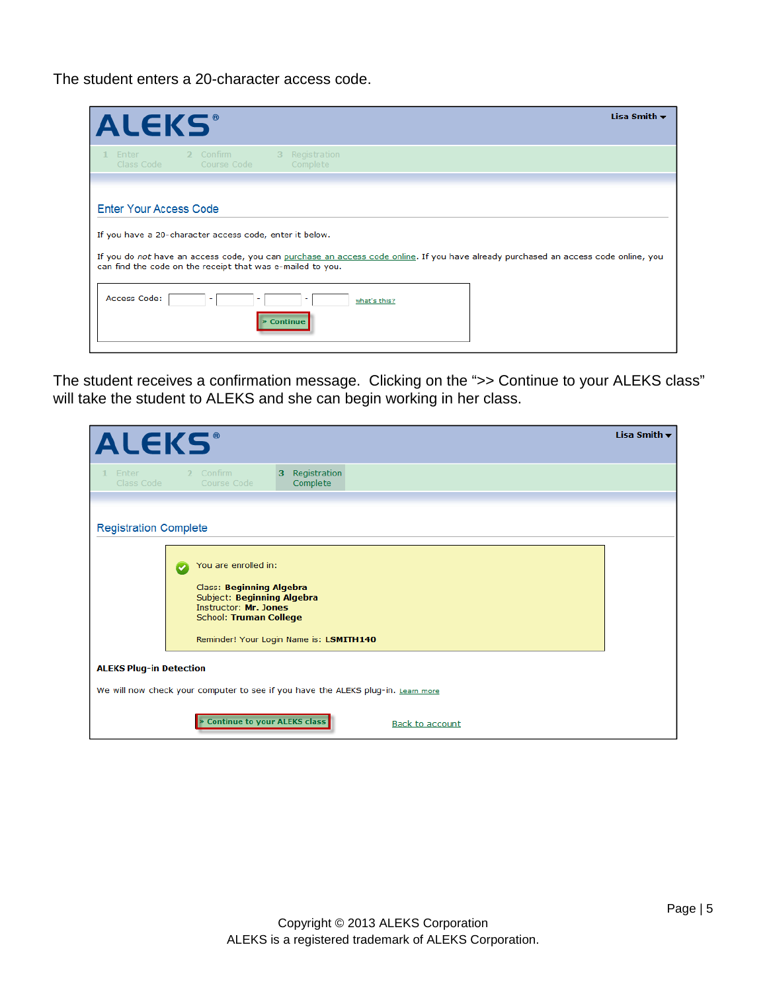The student enters a 20-character access code.

| <b>ALEKS</b>                                                                                                                                                                                   | Lisa Smith $\blacktriangledown$ |
|------------------------------------------------------------------------------------------------------------------------------------------------------------------------------------------------|---------------------------------|
| Registration<br>2 Confirm<br>Enter<br>3<br>Class Code<br>Course Code<br>Complete                                                                                                               |                                 |
| Enter Your Access Code                                                                                                                                                                         |                                 |
| If you have a 20-character access code, enter it below.<br>If you do not have an access code, you can purchase an access code online. If you have already purchased an access code online, you |                                 |
| can find the code on the receipt that was e-mailed to you.                                                                                                                                     |                                 |
| Access Code:<br>what's this?<br><b>Continue</b>                                                                                                                                                |                                 |
|                                                                                                                                                                                                |                                 |

The student receives a confirmation message. Clicking on the ">> Continue to your ALEKS class" will take the student to ALEKS and she can begin working in her class.

| <b>ALEKS</b> <sup>®</sup>      |                                                                                                                                                                                     | Lisa Smith $\blacktriangledown$ |
|--------------------------------|-------------------------------------------------------------------------------------------------------------------------------------------------------------------------------------|---------------------------------|
| Enter<br>Class Code            | Registration<br>2 Confirm<br>з.<br>Course Code<br>Complete                                                                                                                          |                                 |
| <b>Registration Complete</b>   |                                                                                                                                                                                     |                                 |
|                                | You are enrolled in:<br>Class: Beginning Algebra<br>Subject: Beginning Algebra<br>Instructor: Mr. Jones<br><b>School: Truman College</b><br>Reminder! Your Login Name is: LSMITH140 |                                 |
| <b>ALEKS Plug-in Detection</b> |                                                                                                                                                                                     |                                 |
|                                | We will now check your computer to see if you have the ALEKS plug-in. Learn more                                                                                                    |                                 |
|                                | <b>Continue to your ALEKS class</b><br><b>Back to account</b>                                                                                                                       |                                 |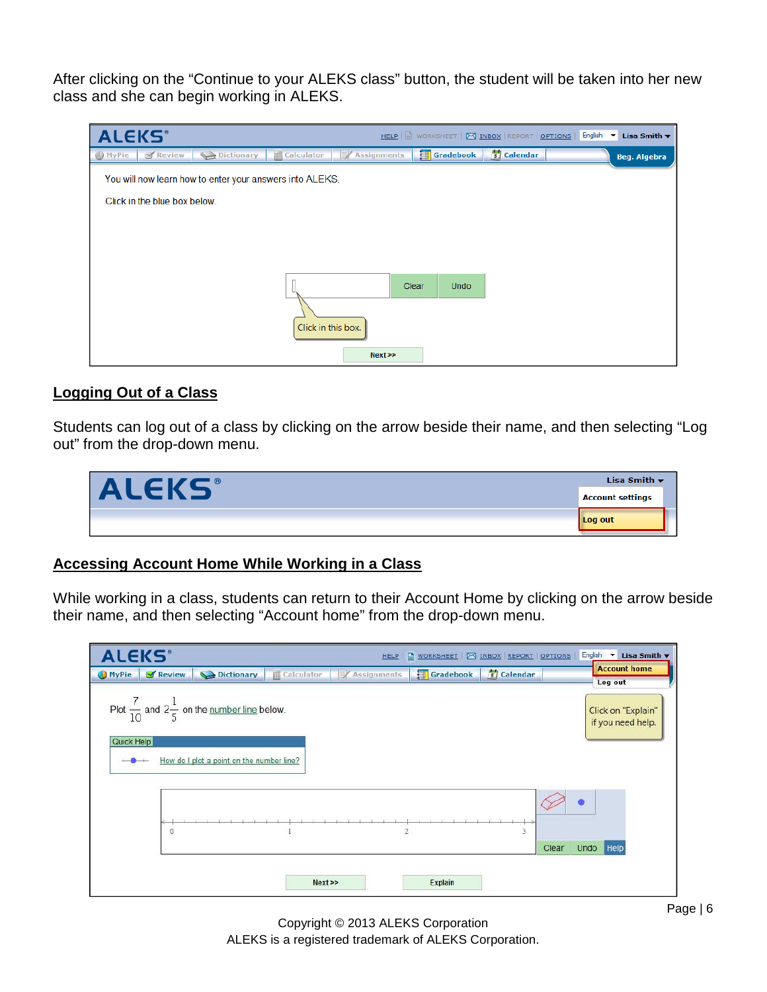After clicking on the "Continue to your ALEKS class" button, the student will be taken into her new class and she can begin working in ALEKS.

| <b>ALEKS</b> <sup>*</sup> |                              |                                                          |                    |                    |                      |              | HELP   U WORKSHEET   M INBOX   REPORT   OPTIONS   English | Lisa Smith $\blacktriangledown$ |
|---------------------------|------------------------------|----------------------------------------------------------|--------------------|--------------------|----------------------|--------------|-----------------------------------------------------------|---------------------------------|
| <b>O</b> MyPie            | Review                       | Dictionary                                               | Calculator         | <b>Assignments</b> | <b>Gradebook</b>     | $5$ Calendar |                                                           | <b>Beg. Algebra</b>             |
|                           |                              | You will now learn how to enter your answers into ALEKS. |                    |                    |                      |              |                                                           |                                 |
|                           | Click in the blue box below. |                                                          |                    |                    |                      |              |                                                           |                                 |
|                           |                              |                                                          |                    |                    |                      |              |                                                           |                                 |
|                           |                              |                                                          |                    |                    |                      |              |                                                           |                                 |
|                           |                              |                                                          |                    |                    |                      |              |                                                           |                                 |
|                           |                              |                                                          |                    |                    | Clear<br><b>Undo</b> |              |                                                           |                                 |
|                           |                              |                                                          | Click in this box. |                    |                      |              |                                                           |                                 |
|                           |                              |                                                          |                    | Next               |                      |              |                                                           |                                 |

# **Logging Out of a Class**

Students can log out of a class by clicking on the arrow beside their name, and then selecting "Log out" from the drop-down menu.

|              | Lisa Smith $\blacktriangledown$ |
|--------------|---------------------------------|
| <b>ALEKS</b> | <b>Account settings</b>         |
|              | Log out                         |

## **Accessing Account Home While Working in a Class**

While working in a class, students can return to their Account Home by clicking on the arrow beside their name, and then selecting "Account home" from the drop-down menu.

| <b>ALEKS</b> *         |                                                                         |            | <b>HELP</b>    | WORKSHEET   24 INBOX REPORT   OPTIONS |              | English <b>v</b><br>Lisa Smith          |
|------------------------|-------------------------------------------------------------------------|------------|----------------|---------------------------------------|--------------|-----------------------------------------|
| <b>MyPie</b><br>Review | Dictionary                                                              | Calculator | Assignments    | Gradebook                             | $5$ Calendar | <b>Account home</b><br>Log out          |
|                        | Plot $\frac{7}{10}$ and $2\frac{1}{5}$ on the <u>number line</u> below. |            |                |                                       |              | Click on "Explain"<br>if you need help. |
| Quick Help             | How do I plot a point on the number line?                               |            |                |                                       |              |                                         |
| $\boldsymbol{0}$       |                                                                         |            | $\overline{2}$ |                                       | 3            | e                                       |
|                        |                                                                         | Next       |                | <b>Explain</b>                        |              | Undo Help<br>Clear                      |

Copyright © 2013 ALEKS Corporation ALEKS is a registered trademark of ALEKS Corporation.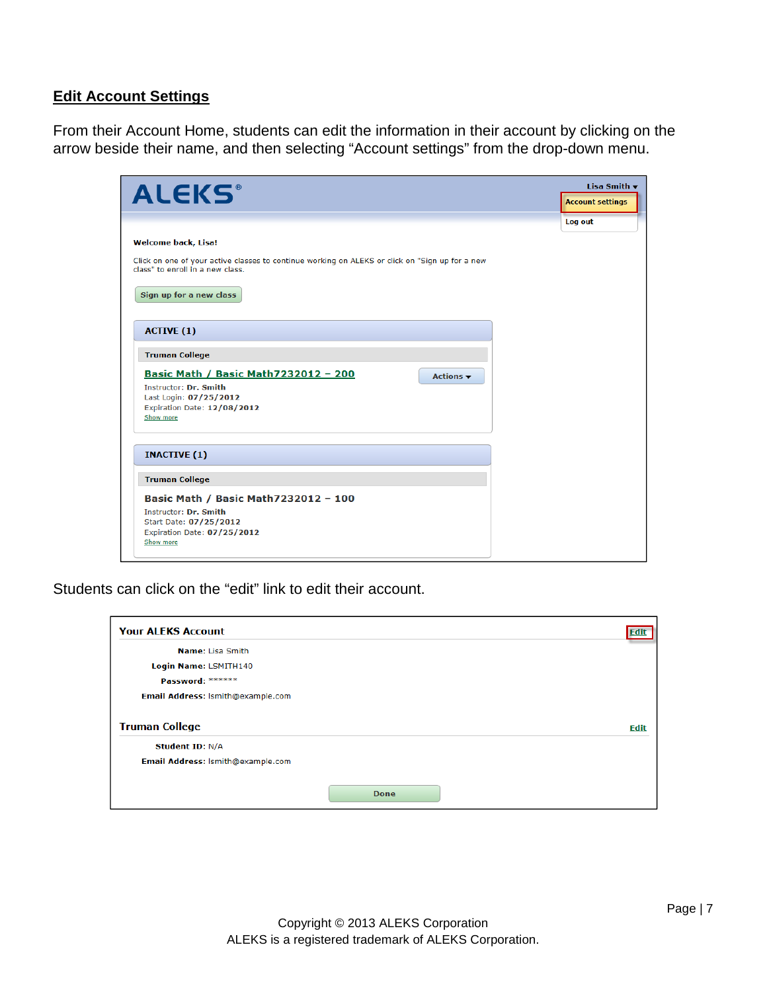### **Edit Account Settings**

From their Account Home, students can edit the information in their account by clicking on the arrow beside their name, and then selecting "Account settings" from the drop-down menu.

| <b>ALEKS®</b>                                                                                                                                                                                                     | Lisa Smith $\star$<br><b>Account settings</b> |
|-------------------------------------------------------------------------------------------------------------------------------------------------------------------------------------------------------------------|-----------------------------------------------|
| <b>Welcome back, Lisa!</b><br>Click on one of your active classes to continue working on ALEKS or click on "Sign up for a new<br>class" to enroll in a new class.<br>Sign up for a new class                      | Log out                                       |
| <b>ACTIVE (1)</b><br><b>Truman College</b><br>Basic Math / Basic Math7232012 - 200<br>Actions $\blacktriangledown$<br>Instructor: Dr. Smith<br>Last Login: 07/25/2012<br>Expiration Date: 12/08/2012<br>Show more |                                               |
| <b>INACTIVE (1)</b>                                                                                                                                                                                               |                                               |
| <b>Truman College</b>                                                                                                                                                                                             |                                               |
| Basic Math / Basic Math7232012 - 100<br>Instructor: Dr. Smith<br>Start Date: 07/25/2012<br>Expiration Date: 07/25/2012<br>Show more                                                                               |                                               |

Students can click on the "edit" link to edit their account.

| <b>Your ALEKS Account</b>         |             |      |
|-----------------------------------|-------------|------|
| Name: Lisa Smith                  |             |      |
| Login Name: LSMITH140             |             |      |
| Password: ******                  |             |      |
| Email Address: Ismith@example.com |             |      |
| <b>Truman College</b>             |             | Edit |
| <b>Student ID: N/A</b>            |             |      |
| Email Address: Ismith@example.com |             |      |
|                                   | <b>Done</b> |      |